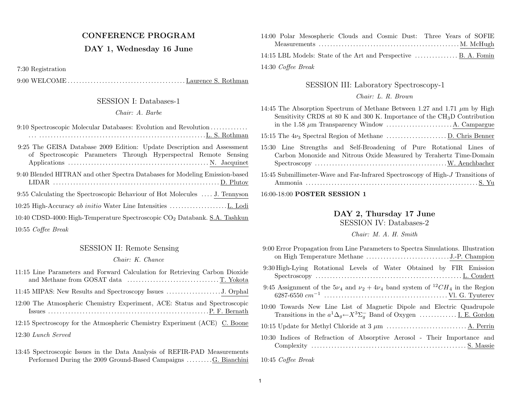# CONFERENCE PROGRAM

## DAY 1, Wednesday 16 June

7:30 Registration

10:55 Coffee Break

9:00 WELCOME . . . . . . . . . . . . . . . . . . . . . . . . . . . . . . . . . . . . . . . . . Laurence S. Rothman

# SESSION I: Databases-1

#### Chair: A. Barbe

9:10 Spectroscopic Molecular Databases: Evolution and Revolution . . . . . . . . . . . . .. . . . . . . . . . . . . . . . . . . . . . . . . . . . . . . . . . . . . . . . . . . . . . . . . . . . . . . . . . . . . L. S. Rothman

| 9:25 The GEISA Database 2009 Edition: Update Description and Assessment<br>of Spectroscopic Parameters Through Hyperspectral Remote Sensing |
|---------------------------------------------------------------------------------------------------------------------------------------------|
| 9:40 Blended HITRAN and other Spectra Databases for Modeling Emission-based                                                                 |
| 9:55 Calculating the Spectroscopic Behaviour of Hot Molecules  J. Tennyson                                                                  |
|                                                                                                                                             |
| 10:40 CDSD-4000: High-Temperature Spectroscopic CO <sub>2</sub> Databank. S.A. Tashkun                                                      |
|                                                                                                                                             |

### SESSION II: Remote Sensing

## Chair: K. Chance

| 11:15 Line Parameters and Forward Calculation for Retrieving Carbon Dioxide |
|-----------------------------------------------------------------------------|
|                                                                             |
| 12:00 The Atmospheric Chemistry Experiment, ACE: Status and Spectroscopic   |
| 12:15 Spectroscopy for the Atmospheric Chemistry Experiment (ACE) C. Boone  |
| 12:30 Lunch Served                                                          |

13:45 Spectroscopic Issues in the Data Analysis of REFIR-PAD Measurements Performed During the 2009 Ground-Based Campaigns . . . . . . . . .G. Bianchini

|                    | 14:00 Polar Mesospheric Clouds and Cosmic Dust: Three Years of SOFIE |  |  |  |  |
|--------------------|----------------------------------------------------------------------|--|--|--|--|
|                    |                                                                      |  |  |  |  |
|                    |                                                                      |  |  |  |  |
| 14:30 Coffee Break |                                                                      |  |  |  |  |

SESSION III: Laboratory Spectroscopy-1

Chair: L. R. Brown

15:45 Submillimeter-Wave and Far-Infrared Spectroscopy of High-<sup>J</sup> Transitions of Ammonia . . . . . . . . . . . . . . . . . . . . . . . . . . . . . . . . . . . . . . . . . . . . . . . . . . . . . . . . . . . . S. Yu

## 16:00-18:00 **POSTER SESSION** 1

# DAY 2, Thursday 17 June

SESSION IV: Databases-2

Chair: M. A. H. Smith

| 9:00 Error Propagation from Line Parameters to Spectra Simulations. Illustration                                                                                 |
|------------------------------------------------------------------------------------------------------------------------------------------------------------------|
| 9:30 High-Lying Rotational Levels of Water Obtained by FIR Emission                                                                                              |
| 9:45 Assignment of the $5\nu_4$ and $\nu_2 + 4\nu_4$ band system of ${}^{12}CH_4$ in the Region                                                                  |
| 10:00 Towards New Line List of Magnetic Dipole and Electric Quadrupole<br>Transitions in the $a^1\Delta_g \leftarrow X^3\Sigma_g^-$ Band of Oxygen  I. E. Gordon |
|                                                                                                                                                                  |
| 10:30 Indices of Refraction of Absorptive Aerosol - Their Importance and                                                                                         |

10:45 Coffee Break